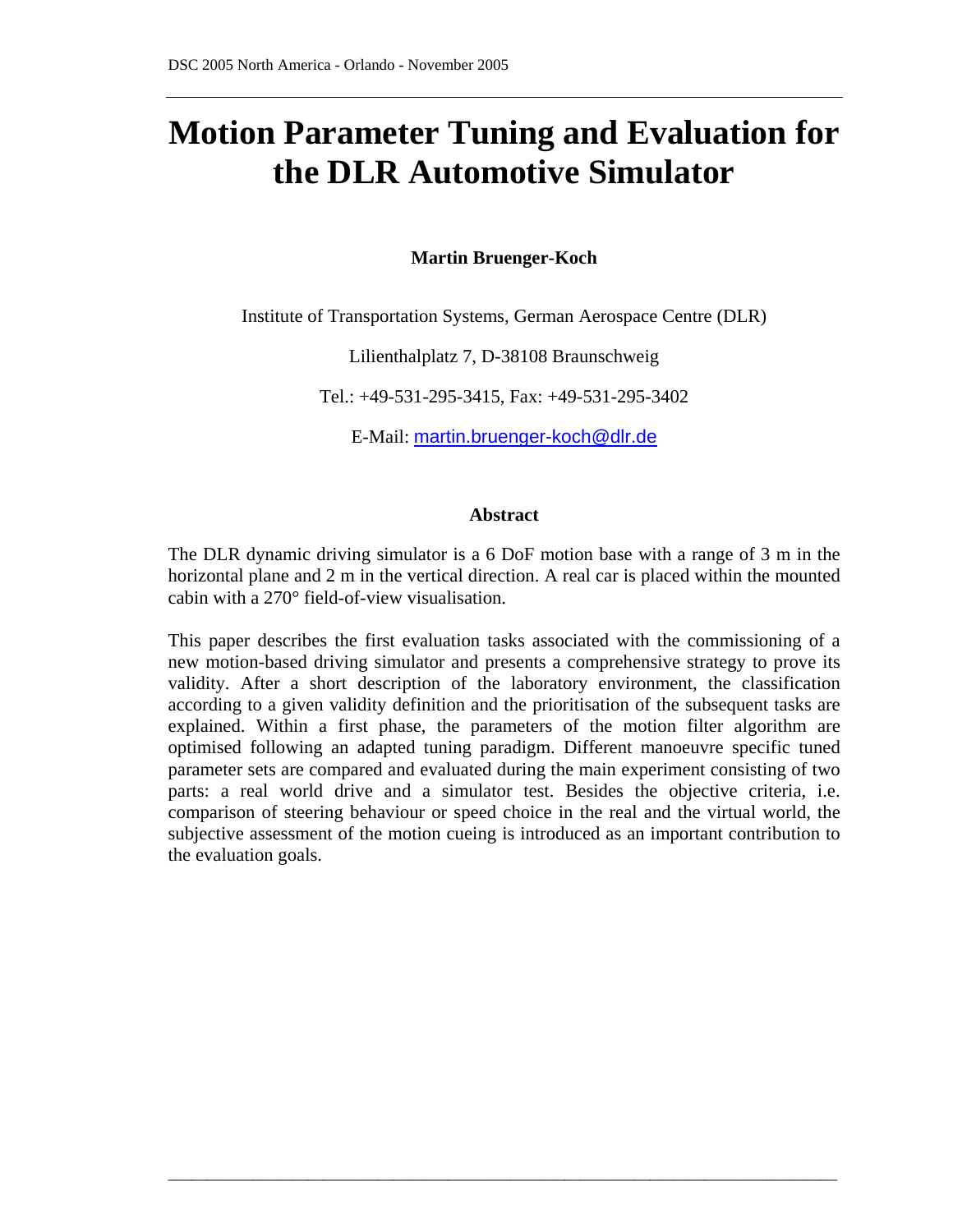# **Motion Parameter Tuning and Evaluation for the DLR Automotive Simulator**

## **Martin Bruenger-Koch**

Institute of Transportation Systems, German Aerospace Centre (DLR)

Lilienthalplatz 7, D-38108 Braunschweig

Tel.: +49-531-295-3415, Fax: +49-531-295-3402

E-Mail: [martin.bruenger-koch@dlr.de](mailto:martin.bruenger-koch@dlr.de)

## **Abstract**

The DLR dynamic driving simulator is a 6 DoF motion base with a range of 3 m in the horizontal plane and 2 m in the vertical direction. A real car is placed within the mounted cabin with a 270° field-of-view visualisation.

This paper describes the first evaluation tasks associated with the commissioning of a new motion-based driving simulator and presents a comprehensive strategy to prove its validity. After a short description of the laboratory environment, the classification according to a given validity definition and the prioritisation of the subsequent tasks are explained. Within a first phase, the parameters of the motion filter algorithm are optimised following an adapted tuning paradigm. Different manoeuvre specific tuned parameter sets are compared and evaluated during the main experiment consisting of two parts: a real world drive and a simulator test. Besides the objective criteria, i.e. comparison of steering behaviour or speed choice in the real and the virtual world, the subjective assessment of the motion cueing is introduced as an important contribution to the evaluation goals.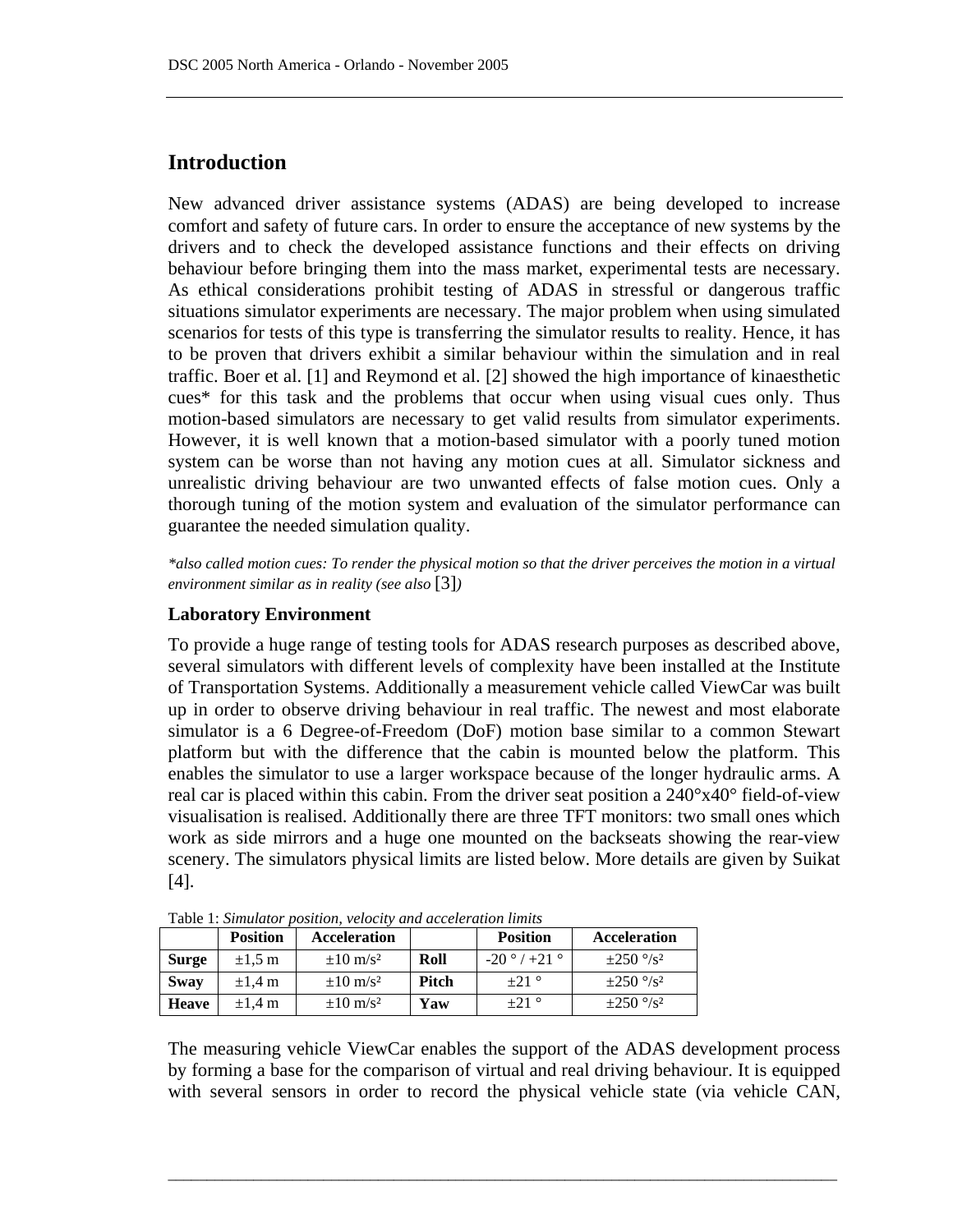# **Introduction**

New advanced driver assistance systems (ADAS) are being developed to increase comfort and safety of future cars. In order to ensure the acceptance of new systems by the drivers and to check the developed assistance functions and their effects on driving behaviour before bringing them into the mass market, experimental tests are necessary. As ethical considerations prohibit testing of ADAS in stressful or dangerous traffic situations simulator experiments are necessary. The major problem when using simulated scenarios for tests of this type is transferring the simulator results to reality. Hence, it has to be proven that drivers exhibit a similar behaviour within the simulation and in real traffic. Boer et al. [1] and Reymond et al. [2] showed the high importance of kinaesthetic cues\* for this task and the problems that occur when using visual cues only. Thus motion-based simulators are necessary to get valid results from simulator experiments. However, it is well known that a motion-based simulator with a poorly tuned motion system can be worse than not having any motion cues at all. Simulator sickness and unrealistic driving behaviour are two unwanted effects of false motion cues. Only a thorough tuning of the motion system and evaluation of the simulator performance can guarantee the needed simulation quality.

*\*also called motion cues: To render the physical motion so that the driver perceives the motion in a virtual environment similar as in reality (see also* [3]*)*

## **Laboratory Environment**

To provide a huge range of testing tools for ADAS research purposes as described above, several simulators with different levels of complexity have been installed at the Institute of Transportation Systems. Additionally a measurement vehicle called ViewCar was built up in order to observe driving behaviour in real traffic. The newest and most elaborate simulator is a 6 Degree-of-Freedom (DoF) motion base similar to a common Stewart platform but with the difference that the cabin is mounted below the platform. This enables the simulator to use a larger workspace because of the longer hydraulic arms. A real car is placed within this cabin. From the driver seat position a 240°x40° field-of-view visualisation is realised. Additionally there are three TFT monitors: two small ones which work as side mirrors and a huge one mounted on the backseats showing the rear-view scenery. The simulators physical limits are listed [below](#page-1-0). More details are given by Suikat [4].

<span id="page-1-0"></span>

| Table 1. Simulator position, velocity und deceleration unitis |                 |                        |              |                                |                               |  |  |  |  |
|---------------------------------------------------------------|-----------------|------------------------|--------------|--------------------------------|-------------------------------|--|--|--|--|
|                                                               | <b>Position</b> | <b>Acceleration</b>    |              | <b>Position</b>                | <b>Acceleration</b>           |  |  |  |  |
| <b>Surge</b>                                                  | $\pm 1.5$ m     | $\pm 10 \text{ m/s}^2$ | Roll         | $-20^{\circ}$ / +21 $^{\circ}$ | $\pm 250^{\circ}/s^2$         |  |  |  |  |
| Sway                                                          | $\pm 1.4$ m     | $\pm 10 \text{ m/s}^2$ | <b>Pitch</b> | $\pm 21$ °                     | $+250\frac{\circ}{s^2}$       |  |  |  |  |
| <b>Heave</b>                                                  | $\pm 1.4$ m     | $\pm 10 \text{ m/s}^2$ | Yaw          | $\pm 21$ °                     | $+250\degree$ /s <sup>2</sup> |  |  |  |  |

Table 1: *Simulator position, velocity and acceleration limits*

The measuring vehicle ViewCar enables the support of the ADAS development process by forming a base for the comparison of virtual and real driving behaviour. It is equipped with several sensors in order to record the physical vehicle state (via vehicle CAN,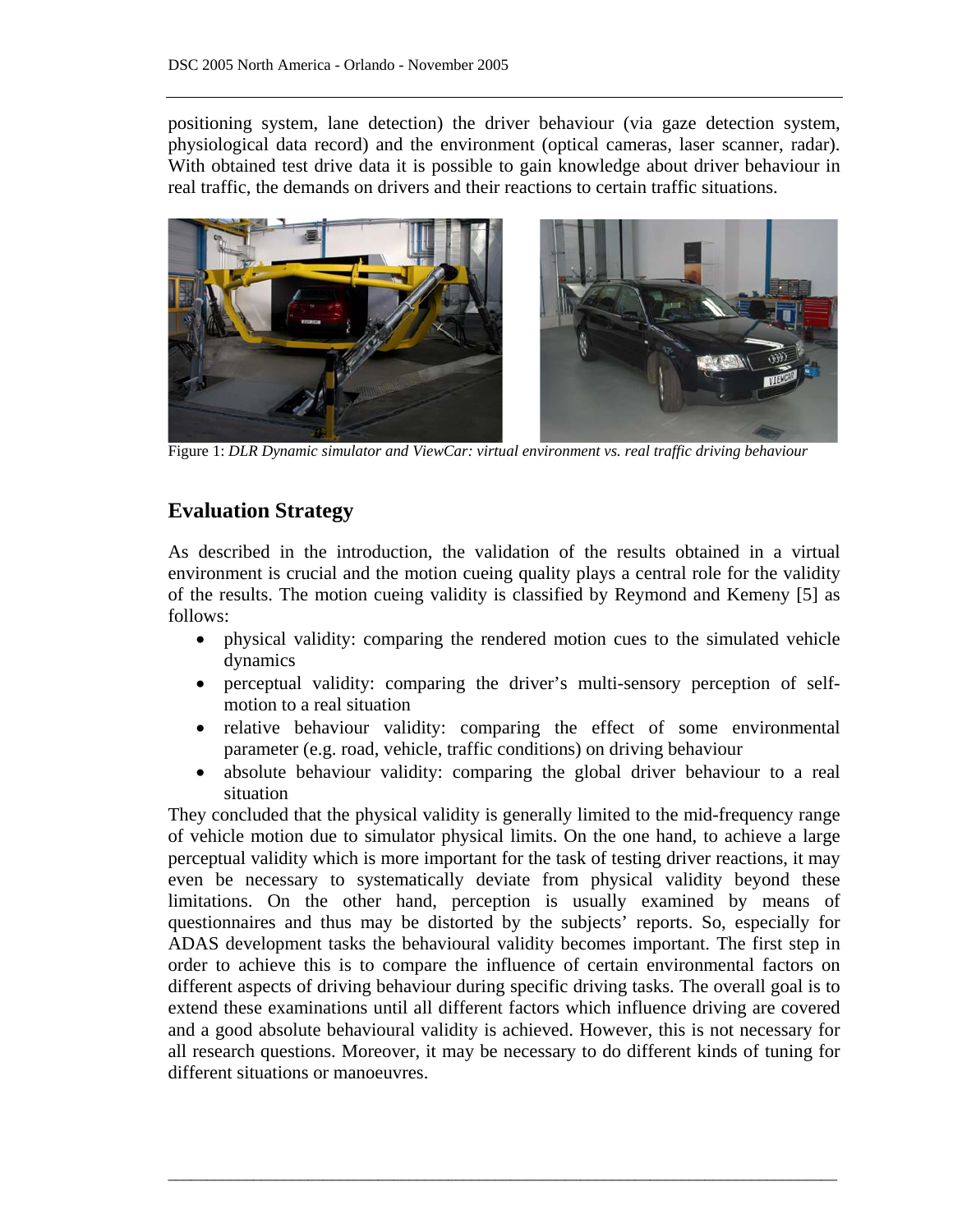positioning system, lane detection) the driver behaviour (via gaze detection system, physiological data record) and the environment (optical cameras, laser scanner, radar). With obtained test drive data it is possible to gain knowledge about driver behaviour in real traffic, the demands on drivers and their reactions to certain traffic situations.



Figure 1: *DLR Dynamic simulator and ViewCar: virtual environment vs. real traffic driving behaviour* 

# **Evaluation Strategy**

As described in the introduction, the validation of the results obtained in a virtual environment is crucial and the motion cueing quality plays a central role for the validity of the results. The motion cueing validity is classified by Reymond and Kemeny [5] as follows:

- physical validity: comparing the rendered motion cues to the simulated vehicle dynamics
- perceptual validity: comparing the driver's multi-sensory perception of selfmotion to a real situation
- relative behaviour validity: comparing the effect of some environmental parameter (e.g. road, vehicle, traffic conditions) on driving behaviour
- absolute behaviour validity: comparing the global driver behaviour to a real situation

They concluded that the physical validity is generally limited to the mid-frequency range of vehicle motion due to simulator physical limits. On the one hand, to achieve a large perceptual validity which is more important for the task of testing driver reactions, it may even be necessary to systematically deviate from physical validity beyond these limitations. On the other hand, perception is usually examined by means of questionnaires and thus may be distorted by the subjects' reports. So, especially for ADAS development tasks the behavioural validity becomes important. The first step in order to achieve this is to compare the influence of certain environmental factors on different aspects of driving behaviour during specific driving tasks. The overall goal is to extend these examinations until all different factors which influence driving are covered and a good absolute behavioural validity is achieved. However, this is not necessary for all research questions. Moreover, it may be necessary to do different kinds of tuning for different situations or manoeuvres.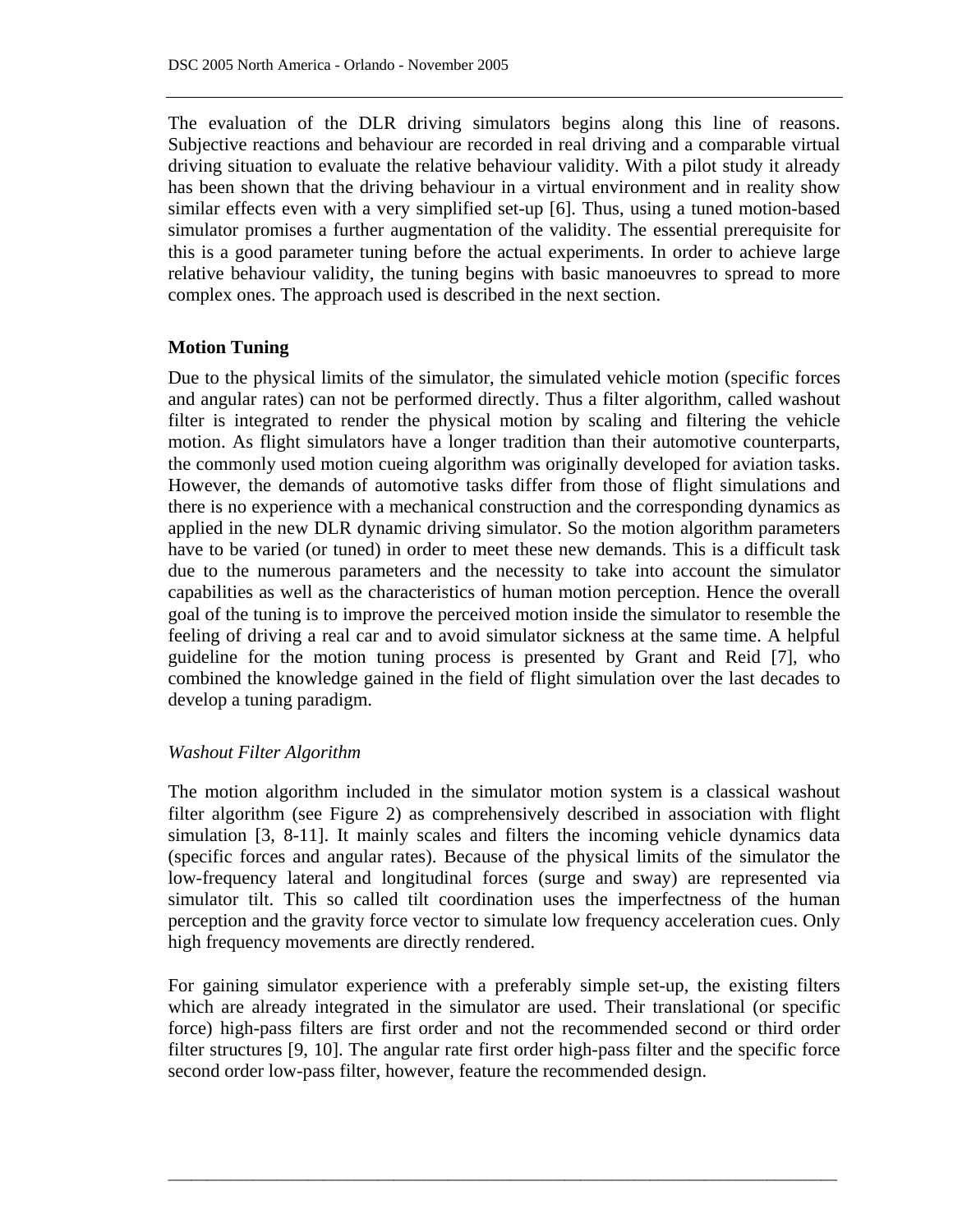The evaluation of the DLR driving simulators begins along this line of reasons. Subjective reactions and behaviour are recorded in real driving and a comparable virtual driving situation to evaluate the relative behaviour validity. With a pilot study it already has been shown that the driving behaviour in a virtual environment and in reality show similar effects even with a very simplified set-up [6]. Thus, using a tuned motion-based simulator promises a further augmentation of the validity. The essential prerequisite for this is a good parameter tuning before the actual experiments. In order to achieve large relative behaviour validity, the tuning begins with basic manoeuvres to spread to more complex ones. The approach used is described in the next section.

## **Motion Tuning**

Due to the physical limits of the simulator, the simulated vehicle motion (specific forces and angular rates) can not be performed directly. Thus a filter algorithm, called washout filter is integrated to render the physical motion by scaling and filtering the vehicle motion. As flight simulators have a longer tradition than their automotive counterparts, the commonly used motion cueing algorithm was originally developed for aviation tasks. However, the demands of automotive tasks differ from those of flight simulations and there is no experience with a mechanical construction and the corresponding dynamics as applied in the new DLR dynamic driving simulator. So the motion algorithm parameters have to be varied (or tuned) in order to meet these new demands. This is a difficult task due to the numerous parameters and the necessity to take into account the simulator capabilities as well as the characteristics of human motion perception. Hence the overall goal of the tuning is to improve the perceived motion inside the simulator to resemble the feeling of driving a real car and to avoid simulator sickness at the same time. A helpful guideline for the motion tuning process is presented by Grant and Reid [7], who combined the knowledge gained in the field of flight simulation over the last decades to develop a tuning paradigm.

## *Washout Filter Algorithm*

The motion algorithm included in the simulator motion system is a classical washout filter algorithm (see [Figure 2](#page-4-0)) as comprehensively described in association with flight simulation [3, 8-11]. It mainly scales and filters the incoming vehicle dynamics data (specific forces and angular rates). Because of the physical limits of the simulator the low-frequency lateral and longitudinal forces (surge and sway) are represented via simulator tilt. This so called tilt coordination uses the imperfectness of the human perception and the gravity force vector to simulate low frequency acceleration cues. Only high frequency movements are directly rendered.

For gaining simulator experience with a preferably simple set-up, the existing filters which are already integrated in the simulator are used. Their translational (or specific force) high-pass filters are first order and not the recommended second or third order filter structures [9, 10]. The angular rate first order high-pass filter and the specific force second order low-pass filter, however, feature the recommended design.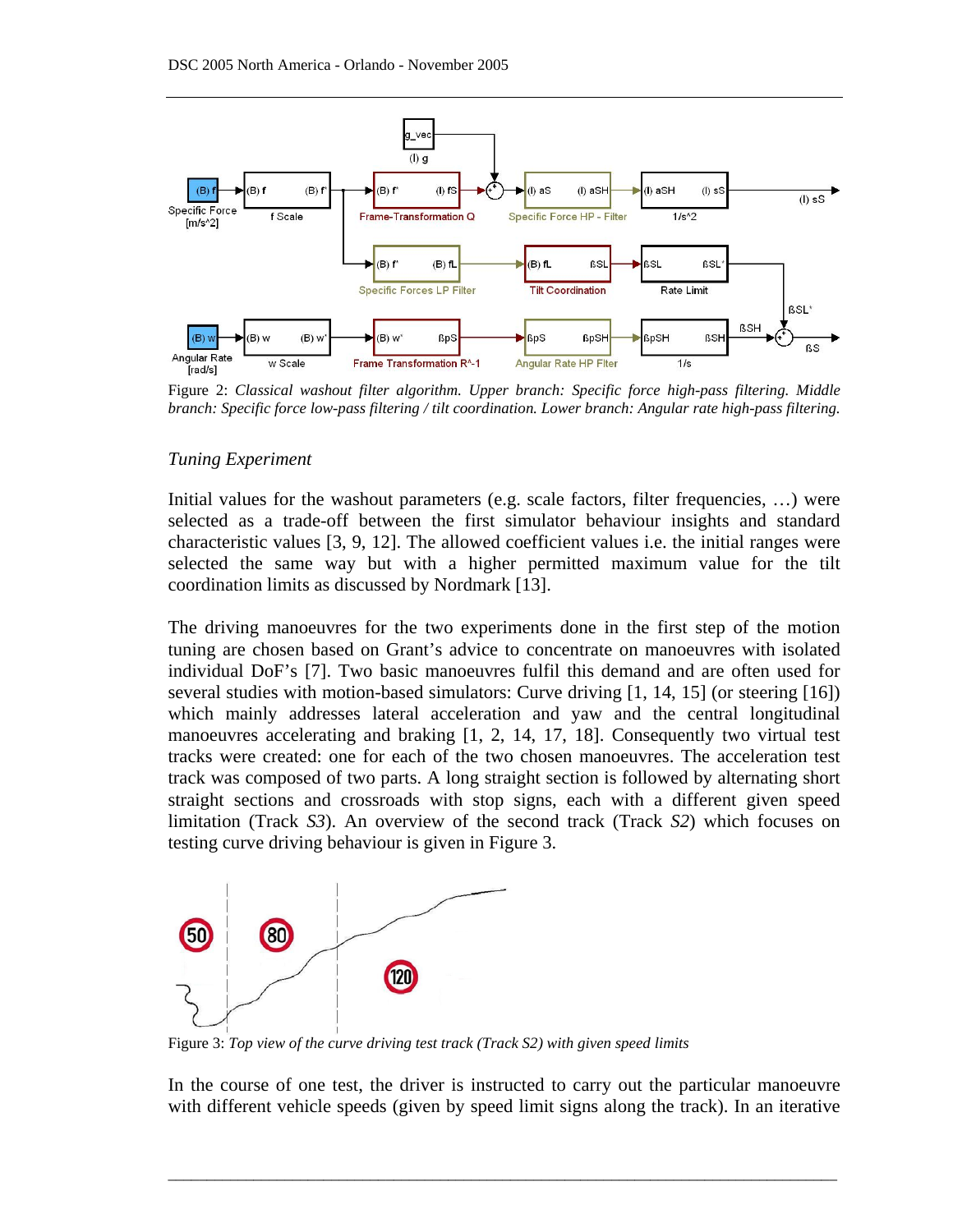

<span id="page-4-0"></span>Figure 2: *Classical washout filter algorithm. Upper branch: Specific force high-pass filtering. Middle branch: Specific force low-pass filtering / tilt coordination. Lower branch: Angular rate high-pass filtering.* 

#### *Tuning Experiment*

Initial values for the washout parameters (e.g. scale factors, filter frequencies, …) were selected as a trade-off between the first simulator behaviour insights and standard characteristic values [3, 9, 12]. The allowed coefficient values i.e. the initial ranges were selected the same way but with a higher permitted maximum value for the tilt coordination limits as discussed by Nordmark [13].

The driving manoeuvres for the two experiments done in the first step of the motion tuning are chosen based on Grant's advice to concentrate on manoeuvres with isolated individual DoF's [7]. Two basic manoeuvres fulfil this demand and are often used for several studies with motion-based simulators: Curve driving [1, 14, 15] (or steering [16]) which mainly addresses lateral acceleration and yaw and the central longitudinal manoeuvres accelerating and braking [1, 2, 14, 17, 18]. Consequently two virtual test tracks were created: one for each of the two chosen manoeuvres. The acceleration test track was composed of two parts. A long straight section is followed by alternating short straight sections and crossroads with stop signs, each with a different given speed limitation (Track *S3*). An overview of the second track (Track *S2*) which focuses on testing curve driving behaviour is given in [Figure 3.](#page-4-1)



<span id="page-4-1"></span>Figure 3: *Top view of the curve driving test track (Track S2) with given speed limits* 

In the course of one test, the driver is instructed to carry out the particular manoeuvre with different vehicle speeds (given by speed limit signs along the track). In an iterative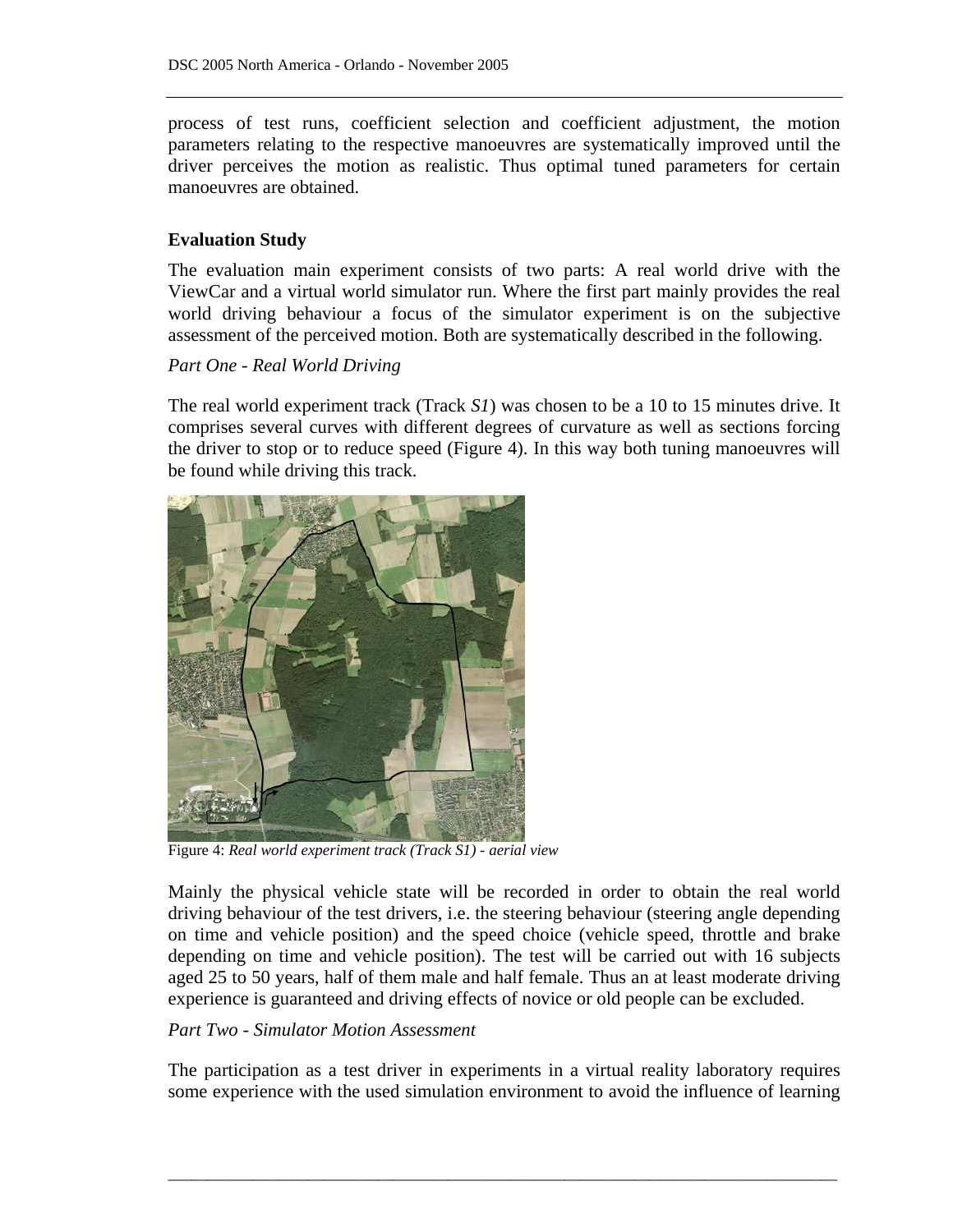process of test runs, coefficient selection and coefficient adjustment, the motion parameters relating to the respective manoeuvres are systematically improved until the driver perceives the motion as realistic. Thus optimal tuned parameters for certain manoeuvres are obtained.

## **Evaluation Study**

The evaluation main experiment consists of two parts: A real world drive with the ViewCar and a virtual world simulator run. Where the first part mainly provides the real world driving behaviour a focus of the simulator experiment is on the subjective assessment of the perceived motion. Both are systematically described in the following.

#### *Part One - Real World Driving*

The real world experiment track (Track *S1*) was chosen to be a 10 to 15 minutes drive. It comprises several curves with different degrees of curvature as well as sections forcing the driver to stop or to reduce speed [\(Figure 4](#page-5-0)). In this way both tuning manoeuvres will be found while driving this track.



Figure 4: *Real world experiment track (Track S1) - aerial view*

<span id="page-5-0"></span>Mainly the physical vehicle state will be recorded in order to obtain the real world driving behaviour of the test drivers, i.e. the steering behaviour (steering angle depending on time and vehicle position) and the speed choice (vehicle speed, throttle and brake depending on time and vehicle position). The test will be carried out with 16 subjects aged 25 to 50 years, half of them male and half female. Thus an at least moderate driving experience is guaranteed and driving effects of novice or old people can be excluded.

#### *Part Two - Simulator Motion Assessment*

The participation as a test driver in experiments in a virtual reality laboratory requires some experience with the used simulation environment to avoid the influence of learning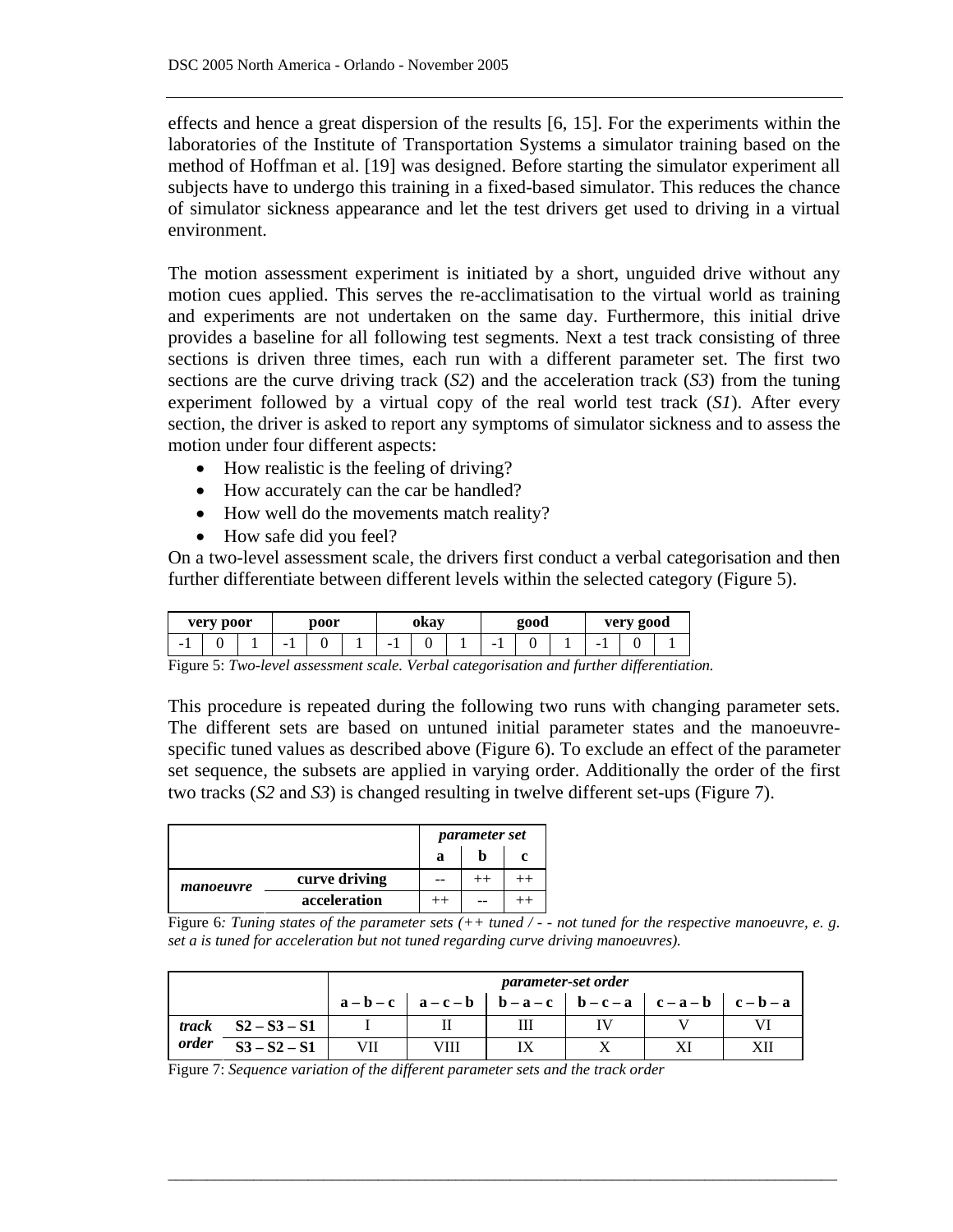effects and hence a great dispersion of the results [6, 15]. For the experiments within the laboratories of the Institute of Transportation Systems a simulator training based on the method of Hoffman et al. [19] was designed. Before starting the simulator experiment all subjects have to undergo this training in a fixed-based simulator. This reduces the chance of simulator sickness appearance and let the test drivers get used to driving in a virtual environment.

The motion assessment experiment is initiated by a short, unguided drive without any motion cues applied. This serves the re-acclimatisation to the virtual world as training and experiments are not undertaken on the same day. Furthermore, this initial drive provides a baseline for all following test segments. Next a test track consisting of three sections is driven three times, each run with a different parameter set. The first two sections are the curve driving track (*S2*) and the acceleration track (*S3*) from the tuning experiment followed by a virtual copy of the real world test track (*S1*). After every section, the driver is asked to report any symptoms of simulator sickness and to assess the motion under four different aspects:

- How realistic is the feeling of driving?
- How accurately can the car be handled?
- How well do the movements match reality?
- How safe did you feel?

On a two-level assessment scale, the drivers first conduct a verbal categorisation and then further differentiate between different levels within the selected category ([Figure 5](#page-6-0)).

| very poor                |  |                                 | poor |   | izov.<br>una |  | 200d |            |  | very good |   |              |   |      |     |
|--------------------------|--|---------------------------------|------|---|--------------|--|------|------------|--|-----------|---|--------------|---|------|-----|
| -                        |  |                                 |      | - |              |  | -    |            |  | -         | u |              | - |      |     |
| $\overline{\phantom{a}}$ |  | $\tilde{\phantom{a}}$<br>$\sim$ |      |   |              |  |      | <b>Y</b> Y |  |           |   | $\mathbf{r}$ |   | 1.00 | . . |

<span id="page-6-0"></span>Figure 5: *Two-level assessment scale. Verbal categorisation and further differentiation.* 

This procedure is repeated during the following two runs with changing parameter sets. The different sets are based on untuned initial parameter states and the manoeuvrespecific tuned values as described above [\(Figure 6\)](#page-6-1). To exclude an effect of the parameter set sequence, the subsets are applied in varying order. Additionally the order of the first two tracks (*S2* and *S3*) is changed resulting in twelve different set-ups ([Figure 7\)](#page-6-2).

|           |               | <i>parameter set</i> |  |   |  |
|-----------|---------------|----------------------|--|---|--|
|           |               | а                    |  | c |  |
| manoeuvre | curve driving |                      |  |   |  |
|           | acceleration  |                      |  |   |  |

<span id="page-6-1"></span>Figure 6*: Tuning states of the parameter sets (++ tuned / - - not tuned for the respective manoeuvre, e. g. set a is tuned for acceleration but not tuned regarding curve driving manoeuvres).* 

 $\_$  ,  $\_$  ,  $\_$  ,  $\_$  ,  $\_$  ,  $\_$  ,  $\_$  ,  $\_$  ,  $\_$  ,  $\_$  ,  $\_$  ,  $\_$  ,  $\_$  ,  $\_$  ,  $\_$  ,  $\_$  ,  $\_$  ,  $\_$  ,  $\_$  ,  $\_$  ,  $\_$  ,  $\_$  ,  $\_$  ,  $\_$  ,  $\_$  ,  $\_$  ,  $\_$  ,  $\_$  ,  $\_$  ,  $\_$  ,  $\_$  ,  $\_$  ,  $\_$  ,  $\_$  ,  $\_$  ,  $\_$  ,  $\_$  ,

|              |                | <i>parameter-set order</i> |      |                                                           |  |  |  |  |  |
|--------------|----------------|----------------------------|------|-----------------------------------------------------------|--|--|--|--|--|
|              |                |                            |      | $a-b-c$   $a-c-b$   $b-a-c$   $b-c-a$   $c-a-b$   $c-b-a$ |  |  |  |  |  |
| track        | $S2 - S3 - S1$ |                            |      | Ш                                                         |  |  |  |  |  |
| <i>order</i> | $S3 - S2 - S1$ | VII                        | VIII |                                                           |  |  |  |  |  |

<span id="page-6-2"></span>Figure 7: *Sequence variation of the different parameter sets and the track order*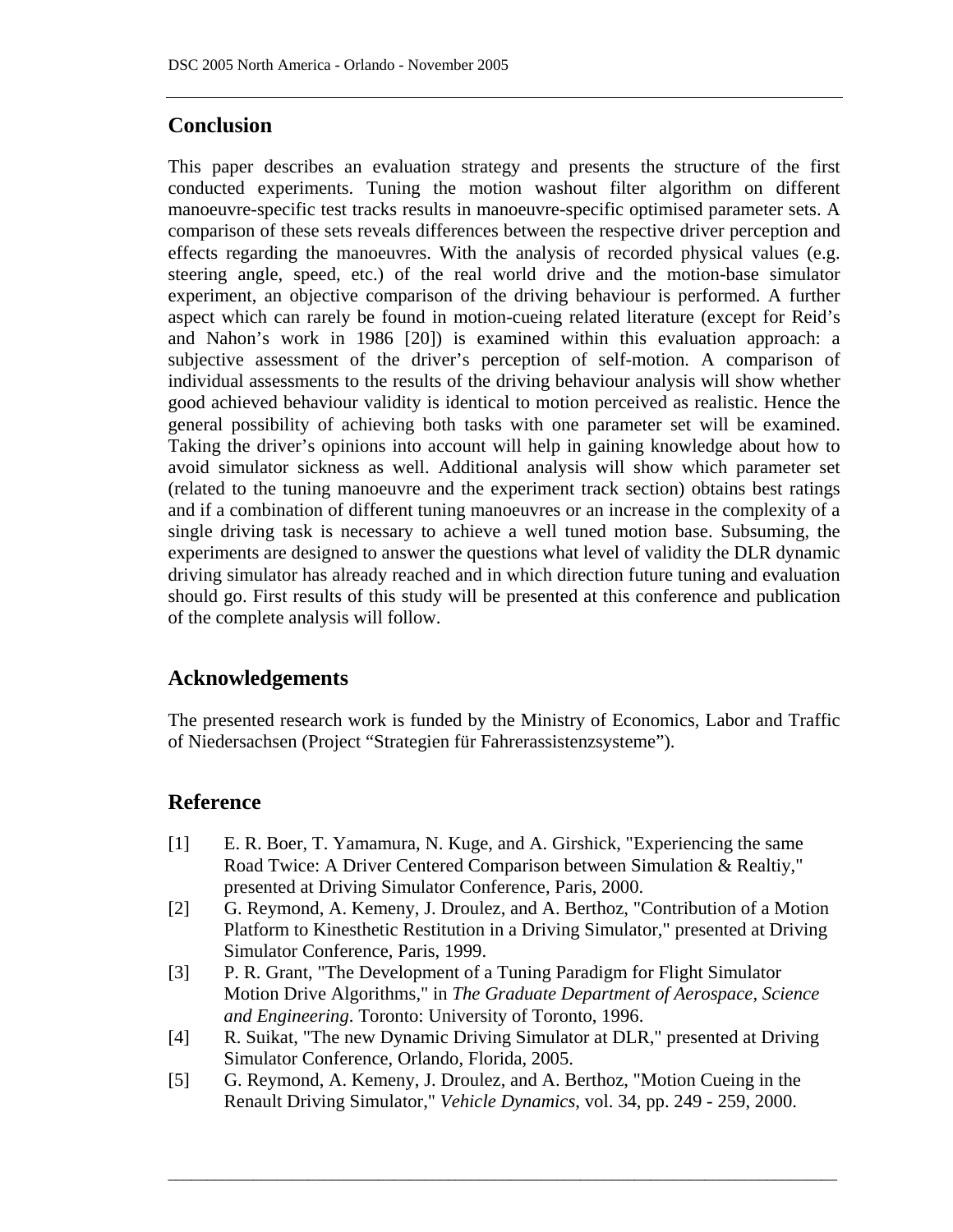# **Conclusion**

This paper describes an evaluation strategy and presents the structure of the first conducted experiments. Tuning the motion washout filter algorithm on different manoeuvre-specific test tracks results in manoeuvre-specific optimised parameter sets. A comparison of these sets reveals differences between the respective driver perception and effects regarding the manoeuvres. With the analysis of recorded physical values (e.g. steering angle, speed, etc.) of the real world drive and the motion-base simulator experiment, an objective comparison of the driving behaviour is performed. A further aspect which can rarely be found in motion-cueing related literature (except for Reid's and Nahon's work in 1986 [20]) is examined within this evaluation approach: a subjective assessment of the driver's perception of self-motion. A comparison of individual assessments to the results of the driving behaviour analysis will show whether good achieved behaviour validity is identical to motion perceived as realistic. Hence the general possibility of achieving both tasks with one parameter set will be examined. Taking the driver's opinions into account will help in gaining knowledge about how to avoid simulator sickness as well. Additional analysis will show which parameter set (related to the tuning manoeuvre and the experiment track section) obtains best ratings and if a combination of different tuning manoeuvres or an increase in the complexity of a single driving task is necessary to achieve a well tuned motion base. Subsuming, the experiments are designed to answer the questions what level of validity the DLR dynamic driving simulator has already reached and in which direction future tuning and evaluation should go. First results of this study will be presented at this conference and publication of the complete analysis will follow.

# **Acknowledgements**

The presented research work is funded by the Ministry of Economics, Labor and Traffic of Niedersachsen (Project "Strategien für Fahrerassistenzsysteme").

# **Reference**

- [1] E. R. Boer, T. Yamamura, N. Kuge, and A. Girshick, "Experiencing the same Road Twice: A Driver Centered Comparison between Simulation & Realtiy," presented at Driving Simulator Conference, Paris, 2000.
- [2] G. Reymond, A. Kemeny, J. Droulez, and A. Berthoz, "Contribution of a Motion Platform to Kinesthetic Restitution in a Driving Simulator," presented at Driving Simulator Conference, Paris, 1999.
- [3] P. R. Grant, "The Development of a Tuning Paradigm for Flight Simulator Motion Drive Algorithms," in *The Graduate Department of Aerospace, Science and Engineering*. Toronto: University of Toronto, 1996.
- [4] R. Suikat, "The new Dynamic Driving Simulator at DLR," presented at Driving Simulator Conference, Orlando, Florida, 2005.

 $\_$  ,  $\_$  ,  $\_$  ,  $\_$  ,  $\_$  ,  $\_$  ,  $\_$  ,  $\_$  ,  $\_$  ,  $\_$  ,  $\_$  ,  $\_$  ,  $\_$  ,  $\_$  ,  $\_$  ,  $\_$  ,  $\_$  ,  $\_$  ,  $\_$  ,  $\_$  ,  $\_$  ,  $\_$  ,  $\_$  ,  $\_$  ,  $\_$  ,  $\_$  ,  $\_$  ,  $\_$  ,  $\_$  ,  $\_$  ,  $\_$  ,  $\_$  ,  $\_$  ,  $\_$  ,  $\_$  ,  $\_$  ,  $\_$  ,

[5] G. Reymond, A. Kemeny, J. Droulez, and A. Berthoz, "Motion Cueing in the Renault Driving Simulator," *Vehicle Dynamics*, vol. 34, pp. 249 - 259, 2000.